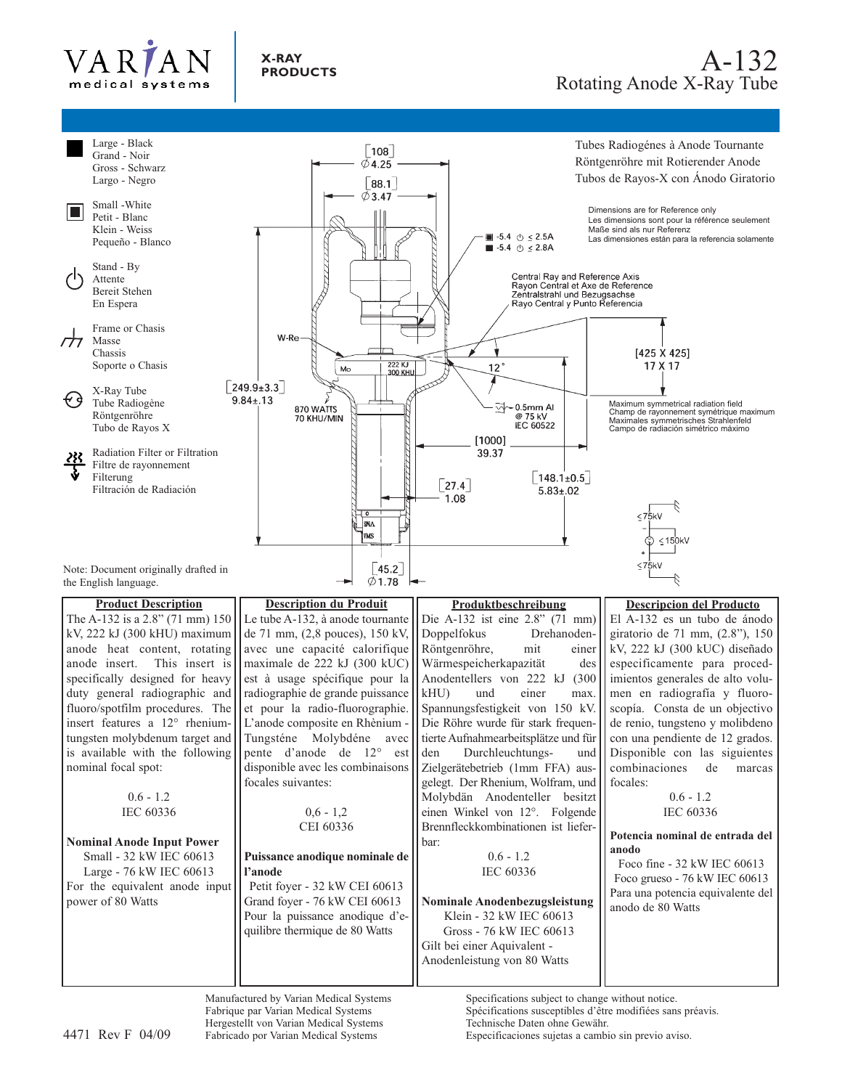



Manufactured by Varian Medical Systems Fabrique par Varian Medical Systems Hergestellt von Varian Medical Systems Fabricado por Varian Medical Systems

Specifications subject to change without notice. Spécifications susceptibles d'être modifiées sans préavis. Technische Daten ohne Gewähr. 4471 Rev F 04/09 Especificaciones sujetas a cambio sin previo aviso.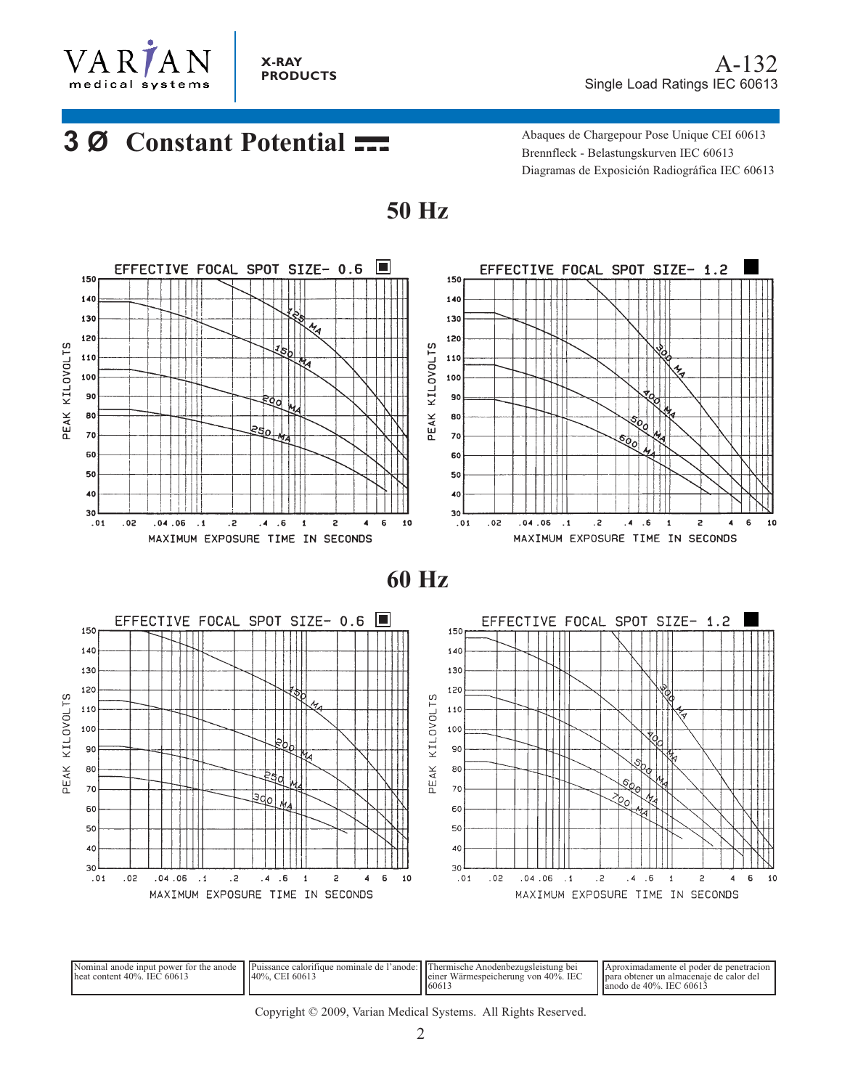

# **3 Ø Constant Potential**

Abaques de Chargepour Pose Unique CEI 60613 Brennfleck - Belastungskurven IEC 60613 Diagramas de Exposición Radiográfica IEC 60613



**50 Hz**

**60 Hz**



| Nominal anode input power for the anode | Il Puissance calorifique nominale de l'anode " | : I I Thermische .<br>Anodenbezugsleistung bei   | LAproximadamente el noder de penetración   |
|-----------------------------------------|------------------------------------------------|--------------------------------------------------|--------------------------------------------|
| $l$ heat content 40%. IEC 60613         | 40%, CEI 60613                                 | <b>IEC</b><br>Wärmespeicherung von 40%.<br>lemer | l Ipara obtener un almacenaie de calor del |
|                                         |                                                | 16061                                            | l lanodo de 40%. IEC 60613                 |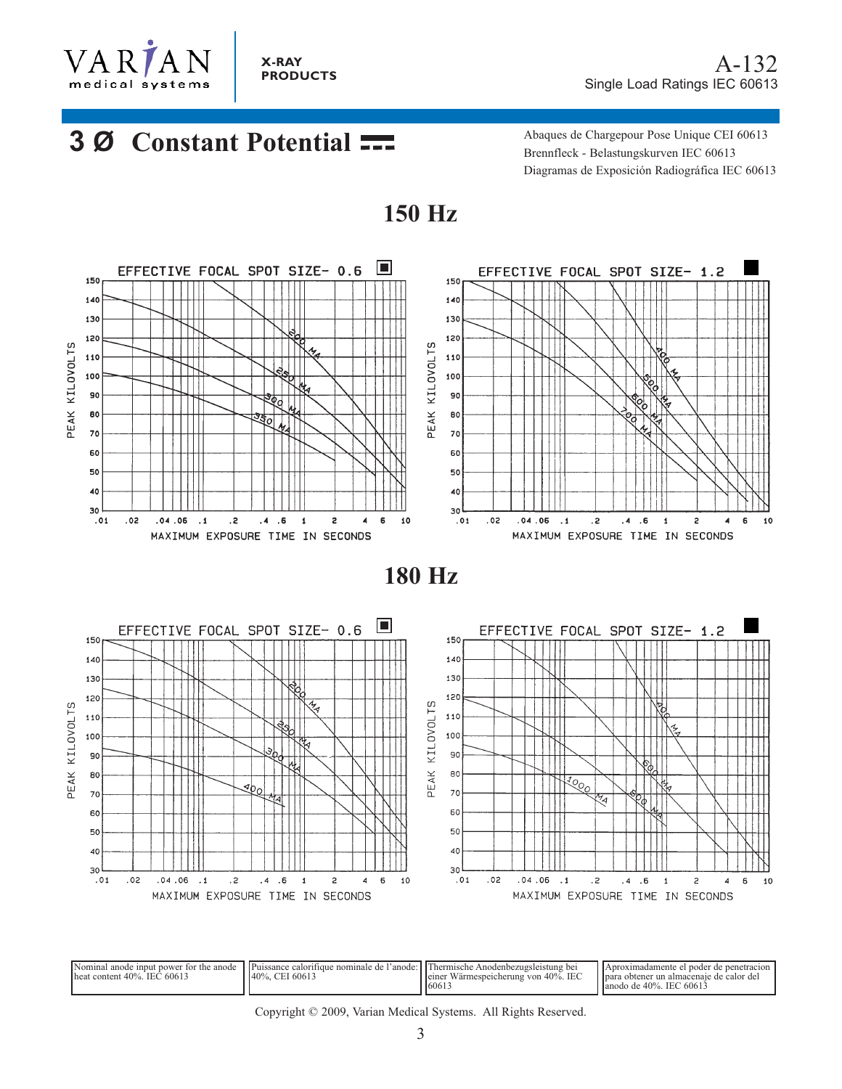

A-132 Single Load Ratings IEC 60613

# **3 Ø Constant Potential Abaques de Chargepour Pose Unique CEI 60613**

Brennfleck - Belastungskurven IEC 60613 Diagramas de Exposición Radiográfica IEC 60613



**150 Hz**

**180 Hz**



| Nominal anode input power for the anode<br>lheat content 40%. IEC 60613 | Puissance<br>caloritique<br>e nominale<br>140%<br>$.6061$ <sup>-</sup><br>C <sub>II</sub> | l'anode: il l'Hermische Anodenbezugsleistung bei<br>. IEC<br>leiner Wärmespeicherung von 40%.<br>16061 | l noder de nenetración<br>Aproximadamente<br>a obtener un almacenaie de calor del<br><b>I</b> para<br>l lanodo de 40%. IEC 60613 |
|-------------------------------------------------------------------------|-------------------------------------------------------------------------------------------|--------------------------------------------------------------------------------------------------------|----------------------------------------------------------------------------------------------------------------------------------|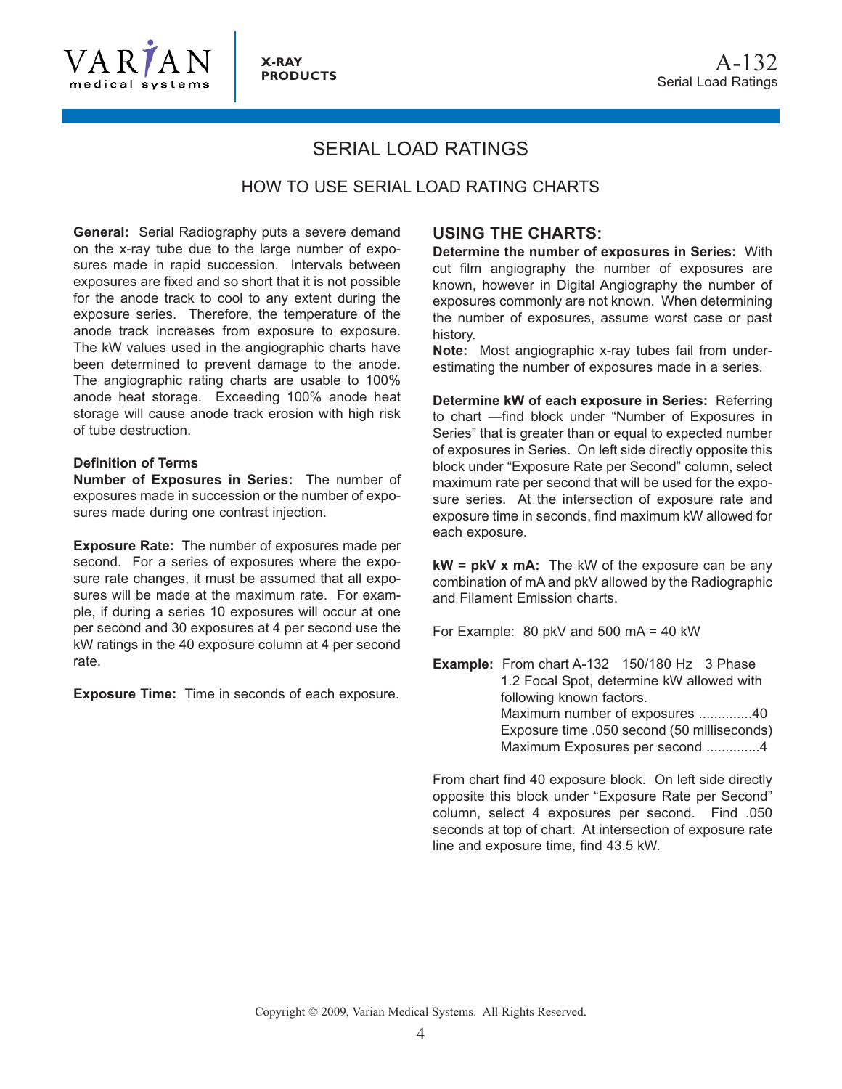

## SERIAL LOAD RATINGS

### HOW TO USE SERIAL LOAD RATING CHARTS

**General:** Serial Radiography puts a severe demand on the x-ray tube due to the large number of exposures made in rapid succession. Intervals between exposures are fixed and so short that it is not possible for the anode track to cool to any extent during the exposure series. Therefore, the temperature of the anode track increases from exposure to exposure. The kW values used in the angiographic charts have been determined to prevent damage to the anode. The angiographic rating charts are usable to 100% anode heat storage. Exceeding 100% anode heat storage will cause anode track erosion with high risk of tube destruction.

#### **Definition of Terms**

**Number of Exposures in Series:** The number of exposures made in succession or the number of exposures made during one contrast injection.

**Exposure Rate:** The number of exposures made per second. For a series of exposures where the exposure rate changes, it must be assumed that all exposures will be made at the maximum rate. For example, if during a series 10 exposures will occur at one per second and 30 exposures at 4 per second use the kW ratings in the 40 exposure column at 4 per second rate.

**Exposure Time:** Time in seconds of each exposure.

### **USING THE CHARTS:**

**Determine the number of exposures in Series:** With cut film angiography the number of exposures are known, however in Digital Angiography the number of exposures commonly are not known. When determining the number of exposures, assume worst case or past history.

**Note:** Most angiographic x-ray tubes fail from underestimating the number of exposures made in a series.

**Determine kW of each exposure in Series:** Referring to chart —find block under "Number of Exposures in Series" that is greater than or equal to expected number of exposures in Series. On left side directly opposite this block under "Exposure Rate per Second" column, select maximum rate per second that will be used for the exposure series. At the intersection of exposure rate and exposure time in seconds, find maximum kW allowed for each exposure.

**kW = pkV x mA:** The kW of the exposure can be any combination of mA and pkV allowed by the Radiographic and Filament Emission charts.

For Example: 80 pkV and 500 mA = 40 kW

**Example:** From chart A-132 150/180 Hz 3 Phase 1.2 Focal Spot, determine kW allowed with following known factors. Maximum number of exposures ..............40 Exposure time .050 second (50 milliseconds) Maximum Exposures per second ..............4

From chart find 40 exposure block. On left side directly opposite this block under "Exposure Rate per Second" column, select 4 exposures per second. Find .050 seconds at top of chart. At intersection of exposure rate line and exposure time, find 43.5 kW.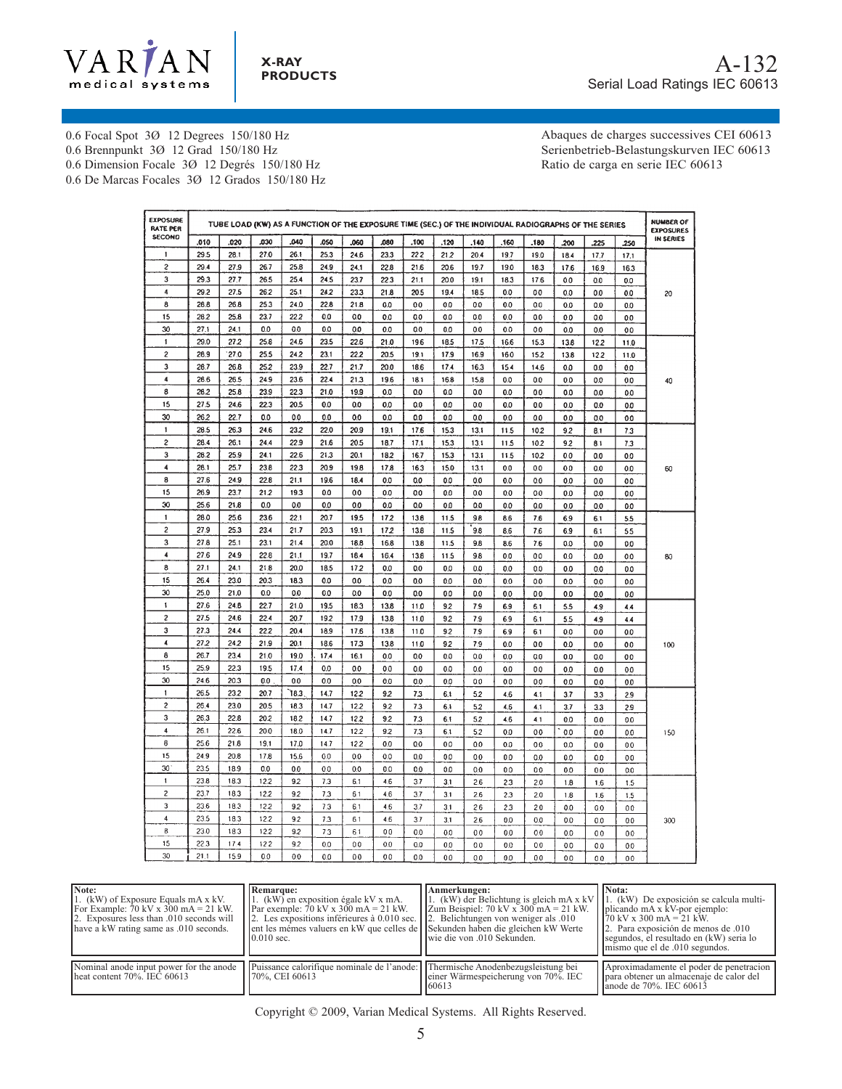

0.6 Focal Spot 3Ø 12 Degrees 150/180 Hz 0.6 Brennpunkt 3Ø 12 Grad 150/180 Hz

0.6 Dimension Focale 3Ø 12 Degrés 150/180 Hz

0.6 De Marcas Focales 3Ø 12 Grados 150/180 Hz

Abaques de charges successives CEI 60613 Serienbetrieb-Belastungskurven IEC 60613 Ratio de carga en serie IEC 60613

| <b>EXPOSURE</b><br><b>RATE PER</b> | TUBE LOAD (KW) AS A FUNCTION OF THE EXPOSURE TIME (SEC.) OF THE INDIVIDUAL RADIOGRAPHS OF THE SERIES |      |                |      |      |      |         |                |                | <b>NUMBER OF</b><br><b>EXPOSURES</b> |          |                |                |               |                |           |
|------------------------------------|------------------------------------------------------------------------------------------------------|------|----------------|------|------|------|---------|----------------|----------------|--------------------------------------|----------|----------------|----------------|---------------|----------------|-----------|
| <b>SECOND</b>                      | .010                                                                                                 | .020 | .030           | .040 | .050 | .060 | .080    | .100           | .120           | .140                                 | .160     | .180           | .200           | 225           | .250           | IN SERIES |
| 1                                  | 29.5                                                                                                 | 28.1 | 27.0           | 26.1 | 25.3 | 24.6 | 23.3    | 222            | 21.2           | 20.4                                 | 19.7     | 19.0           | 18.4           | 17.7          | 17.1           |           |
| $\overline{\mathbf{c}}$            | 29.4                                                                                                 | 27.9 | 26.7           | 25.8 | 24.9 | 24.1 | 22.8    | 21.6           | 20.6           | 19.7                                 | 19.0     | 18.3           | 17.6           | 16.9          | 16.3           |           |
| 3                                  | 29.3                                                                                                 | 27.7 | 26.5           | 25.4 | 24.5 | 23.7 | 22.3    | 21.1           | 20.0           | 19.1                                 | 18.3     | 17.6           | 0.0            | 0.0           | 0.0            |           |
| 4                                  | 29.2                                                                                                 | 27.5 | 26.2           | 25.1 | 242  | 233  | 21.8    | 20.5           | 19.4           | 18.5                                 | 0.0      | 0.0            | 0.0            | 0.0           | 0.0            | 20        |
| 8                                  | 28.8                                                                                                 | 26.8 | 25.3           | 24.0 | 22.8 | 21.8 | 0.0     | 0 <sub>0</sub> | 0.0            | 0.0                                  | 0.0      | 0.0            | 0.0            | 0.0           | 0.0            |           |
| 15                                 | 28.2                                                                                                 | 25.8 | 23.7           | 22.2 | 0.0  | 0.0  | $0.0\,$ | 0.0            | 0.0            | 0.0                                  | 0.0      | 0.0            | 0.0            | 0.0           | 0.0            |           |
| 30                                 | 27.1                                                                                                 | 24.1 | 0.0            | 0.0  | 0.0  | 0.0  | 0.0     | 0.0            | 0.0            | 0.0                                  | 0.0      | 0.0            | 0.0            | 0.0           | 0.0            |           |
| 1                                  | 29.0                                                                                                 | 27.2 | 25.8           | 24.6 | 23.5 | 22.6 | 21.0    | 19.6           | 18.5           | 17.5                                 | 16.6     | 15.3           | 13.8           | 122           | 11.0           |           |
| $\overline{c}$                     | 28.9                                                                                                 | 27.0 | 25.5           | 24.2 | 23.1 | 22.2 | 20.5    | 19.1           | 17.9           | 16.9                                 | 16.0     | 15.2           | 13.8           | 122           | 11.0           |           |
| 3                                  | 28.7                                                                                                 | 26.8 | 25.2           | 23.9 | 22.7 | 21.7 | 20.0    | 18.6           | 17.4           | 16.3                                 | 15.4     | 14.6           | 0.0            | 0.0           | 0.0            |           |
| 4                                  | 28.6                                                                                                 | 26.5 | 24.9           | 23.6 | 22.4 | 21.3 | 19.6    | 18.1           | 16.8           | 15.8                                 | ٥o       | 0.0            | 0.0            | 0.0           | 0.0            | 40        |
| 8                                  | 28.2                                                                                                 | 25.8 | 23.9           | 22.3 | 21.0 | 19.9 | 0.0     | 0.0            | 0.0            | 0.0                                  | 0.0      | 00             | 0.0            | 0.0           | 0.0            |           |
| 15                                 | 27.5                                                                                                 | 24.6 | 22.3           | 20.5 | 0.0  | 0.0  | 0.0     | 0.0            | 0.0            | 0.0                                  | 0.0      | 0.0            | 0.0            | 0.0           | 0.0            |           |
| 30                                 | 26.2                                                                                                 | 22.7 | 0.0            | 0.0  | 0.0  | 0.0  | 0.0     | 0.0            | 0.0            | 0.0                                  | 0.0      | 0.0            | 0.0            | 0.0           | 0.0            |           |
| 1                                  | 28.5                                                                                                 | 26.3 | 24.6           | 23.2 | 22.0 | 20.9 | 19.1    | 17.6           | 15.3           | 13.1                                 | 11.5     | 102            | 92             | 8.1           | 7.3            |           |
| $\overline{\mathbf{c}}$            | 28.4                                                                                                 | 26.1 | 24.4           | 22.9 | 21.6 | 20.5 | 18.7    | 17.1           | 15.3           | 13.1                                 | 11.5     | 102            | 92             | 8.1           | 7.3            |           |
| 3                                  | 28.2                                                                                                 | 25.9 | 24.1           | 22.6 | 21.3 | 20.1 | 18.2    | 16.7           | 15.3           | 13.1                                 | 11.5     | 10.2           | 0.0            | 0.0           | 0.0            |           |
| 4                                  | 28.1                                                                                                 | 25.7 | 23.8           | 22.3 | 20.9 | 19.8 | 17.8    | 16.3           | 15.0           | 13.1                                 | 0.0      | 0.0            | 0.0            | 0.0           | 0.0            | 60        |
| 8                                  | 27.6                                                                                                 | 24.9 | 22.8           | 21.1 | 19.6 | 18.4 | 0.0     | 0.0            | 0.0            | 0.0                                  | 0.0      | 0.0            | 0.0            | 0.0           | 0.0            |           |
| 15                                 | 26.9                                                                                                 | 23.7 | 21.2           | 19.3 | 0.0  | 0.0  | 0.0     | 0.0            | 0.0            | 0.0                                  | 0.0      | 0.0            | 0.0            | 0.0           | 0.0            |           |
| 30                                 | 25.6                                                                                                 | 21.8 | 0.0            | 0.0  | 0.0  | 0.0  | 0.0     | 0.0            | 0.0            | 0.0                                  | 0.0      | 0.0            | 0.0            | 0.0           | 0.0            |           |
| 1                                  | 28.0                                                                                                 | 25.6 | 23.6           | 22.1 | 20.7 | 19.5 | 172     | 13.6           | 11.5           | 9.8                                  | 8.6      | 7.6            | 6.9            | 6.1           | 5.5            |           |
| 2                                  | 27.9                                                                                                 | 25.3 | 23.4           | 21.7 | 20.3 | 19.1 | 172     | 13.8           | 11.5           | 9.8                                  | 8.6      | 7.6            | 6.9            | 6.1           | 55             |           |
| 3                                  | 27.8                                                                                                 | 25.1 | 23.1           | 21.4 | 20.0 | 18.8 | 16.8    | 13.8           | 11.5           | 9.8                                  | 8.6      | 7.6            | 0.0            | 0.0           | 0.0            |           |
| 4                                  | 27.6                                                                                                 | 24.9 | 22.8           | 21.1 | 19.7 | 18.4 | 16.4    | 13.8           | 11.5           | 9.8                                  | 0.0      | 0.0            | 0.0            | 0.0           | 0.0            | 80        |
| 8                                  | 27.1                                                                                                 | 24.1 | 21.8           | 20.0 | 18.5 | 172  | 0.0     | 0.0            | 0.0            | 0.0                                  | 0.0      | 0.0            | 0.0            | 0.0           | 0.0            |           |
| 15                                 | 26.4                                                                                                 | 23.0 | 20.3           | 18.3 | 0.0  | 0.0  | 0.0     | 0.0            | 0.0            | 0.0                                  | 0.0      | 0.0            | 0.0            | 0.0           | 0.0            |           |
| 30                                 | 25.0                                                                                                 | 21.0 | 0.0            | 0.0  | 0.0  | 0.0  | 0.0     | 0.0            | 0.0            | 0.0                                  | 0.0      | 0.0            | 0.0            | 0.0           | 0.0            |           |
| 1                                  | 27.6                                                                                                 | 24.8 | 22.7           | 21.0 | 19.5 | 18.3 | 13.8    | 11.0           | 92             | 7.9                                  | 6.9      | 6.1            | 5.5            | 4.9           | 4.4            |           |
| $\overline{c}$                     | 27.5                                                                                                 | 24.6 | 22.4           | 20.7 | 192  | 17.9 | 13.8    | 11.0           | 92             | 7.9                                  | 6.9      | 6.1            | 5.5            | 4.9           | 4.4            |           |
| 3                                  | 27.3                                                                                                 | 24.4 | 222            | 20.4 | 18.9 | 17.6 | 13.8    | 11.0           | 92             | 7.9                                  | 6.9      | 6.1            | 0.0            | 0.0           | 0.0            |           |
| 4                                  | 27.2                                                                                                 | 242  | 21.9           | 20.1 | 18.6 | 17.3 | 13.8    | 11.0           | 92             | 7.9                                  | 0.0      | 0 <sub>0</sub> | 0.0            | 0.0           | 0.0            | 100       |
| 8                                  | 26.7                                                                                                 | 23.4 | 21.0           | 19.0 | 17.4 | 16.1 | 0.0     | 0.0            | 0.0            | 0.0                                  | 0.0      | 0.0            | 0.0            | 0.0           | 0.0            |           |
| 15                                 | 25.9                                                                                                 | 22.3 | 19.5           | 17.4 | 0.0  | 0.0  | 0.0     | 0.0            | 0.0            | 0.0                                  | 0.0      | 0.0            | 0.0            | 0.0           | 0.0            |           |
| 30                                 | 24.6                                                                                                 | 20.3 | 0.0            | 0.0  | 0.0  | 0.0  | 0.0     | 0.0            | 0.0            | 0.0                                  | 0.0      | 0.0            | 0.0            | 0.0           | 0.0            |           |
| 1                                  | 26.5                                                                                                 | 23.2 | 20.7           | 18.3 | 14.7 | 122  | 92      | 73             | 6.1            | 5.2                                  | 4.6      | 4.1            | 3.7            | 3.3           | 2.9            |           |
| $\overline{\mathbf{c}}$            | 26.4                                                                                                 | 23.0 | 20.5           | 18.3 | 14.7 | 12.2 | 9.2     | 73             | 6.1            | 52                                   | 4.6      | 4.1            | 3.7            | 33            | 2.9            |           |
| 3                                  | 26.3                                                                                                 | 22.8 | 20.2           | 18.2 | 14.7 | 12.2 | 9.2     | 7.3            | 6.1            | 5.2                                  | 4.6      | 4.1            | 0.0            | 0.0           | 0.0            |           |
| 4                                  | 26.1                                                                                                 | 22.6 | 20.0           | 18.0 | 14.7 | 12.2 | 9.2     | 7.3            | 6.1            | 5.2                                  | 0.0      | 00             | 0.0            | 0.0           | 0.0            | 150       |
| 8                                  | 25.6                                                                                                 | 21.8 | 19.1           | 17.0 | 14.7 | 122  | 0.0     | 0 <sub>0</sub> | 0 <sub>0</sub> | 0.0                                  | 0.0      | 0.0            | 0.0            | 0.0           | 00             |           |
| 15                                 | 24.9                                                                                                 | 20.8 | 17.8           | 15.6 | 0.0  | 0.0  | 0.0     | 0.0            | 0.0            | 0 <sub>0</sub>                       | 0.0      | 0.0            | 0.0            | 0.0           | 0.0            |           |
| 30                                 | 23.5                                                                                                 | 18.9 | 0.0            | 0.0  | 00   | 0.0  | 0.0     | 0.0            | 0.0            | 0.0                                  | 0.0      | 0.0            | 0.0            | 0.0           | 0.0            |           |
| $\mathbf{1}$                       | 23.8                                                                                                 | 18.3 | 12.2           | 9.2  | 7.3  | 6.1  | 4.6     | 3.7            | 3.1            | 2.6                                  | 23       | 2.0            | 1.8            | 1.6           | 1.5            |           |
| 2                                  | 23.7                                                                                                 | 18.3 | 12.2           | 9.2  | 7.3  | 6.1  | 4.6     | 3.7            | 3.1            | 2.6                                  | 2.3      | 2.0            | 1.8            | 1.6           | 1.5            |           |
| 3                                  | 23.6                                                                                                 | 18.3 | 122            | 92   | 7.3  | 6.1  | 4.6     | 3.7            | 3.1            | 2.6                                  | 23       | 2.0            | 0.0            | 0.0           | 0.0            |           |
| 4                                  | 23.5                                                                                                 | 18.3 | 12.2           | 9.2  | 7.3  | 6.1  | 4.6     | 3.7            | 3.1            | 2.6                                  | 0.0      | 0.0            | 0.0            | 0.0           | 0.0            | 300       |
| 8                                  | 23.0                                                                                                 | 18.3 | 12.2           | 9.2  | 73   | 6.1  | 00      | 0.0            | 0.0            | 0.0                                  | 0.0      | 0.0            | 0 <sub>0</sub> | 0.0           | 0 <sub>0</sub> |           |
| 15                                 | 22.3                                                                                                 | 17.4 | 12.2           | 9.2  | 0.0  | 0.0  | 0.0     | 0.0            | 0.0            | 0.0                                  | 0.0      | 0.0            | 0.0            |               |                |           |
| 30                                 | 211                                                                                                  | 15Q  | 0 <sup>0</sup> | 00.  | 00   | 00   | n n     | 0 <sup>0</sup> | 0 <sub>0</sub> | 0 <sup>0</sup>                       | $\Omega$ | 0 <sup>0</sup> | $\sim$         | 0.0<br>$\sim$ | 0.0<br>$\sim$  |           |

| Note:<br>1. (kW) of Exposure Equals mA x kV.<br>For Example: $70 \text{ kV} \times 300 \text{ mA} = 21 \text{ kW}$ .<br>2. Exposures less than .010 seconds will<br>have a kW rating same as .010 seconds. | Remarque:<br>1. (kW) en exposition égale kV x mA.<br>Par exemple: $70$ kV x $300$ mA = 21 kW.<br>2. Les expositions inférieures à $0.010$ sec. $  2$ . Belichtungen von weniger als 0.010<br>ent les mémes valuers en kW que celles de <i>Sekunden</i> haben die gleichen kW Werte<br>$0.010$ sec. | Anmerkungen:<br>1. (kW) der Belichtung is gleich mA x kV<br>Zum Beispiel: $70 \text{ kV} \times 300 \text{ mA} = 21 \text{ kW}$ .<br>l lwie die von .010 Sekunden. | <b>Nota:</b><br>1. (kW) De exposición se calcula multi-<br>plicando mA x kV-por ejemplo:<br>$170 \text{ kV}$ x 300 mA = 21 kW.<br>2. Para exposición de menos de 0.10<br>segundos, el resultado en (kW) seria lo<br>mismo que el de .010 segundos. |
|------------------------------------------------------------------------------------------------------------------------------------------------------------------------------------------------------------|----------------------------------------------------------------------------------------------------------------------------------------------------------------------------------------------------------------------------------------------------------------------------------------------------|--------------------------------------------------------------------------------------------------------------------------------------------------------------------|----------------------------------------------------------------------------------------------------------------------------------------------------------------------------------------------------------------------------------------------------|
| Nominal anode input power for the anode<br>$\mu$ heat content 70%. IEC 60613                                                                                                                               | Puissance calorifique nominale de l'anode: Thermische Anodenbezugsleistung bei<br>70%, CEI 60613                                                                                                                                                                                                   | einer Wärmespeicherung von 70%. IEC<br>160613                                                                                                                      | Aproximadamente el poder de penetracion<br>para obtener un almacenaje de calor del<br>lanode de 70%. IEC 60613                                                                                                                                     |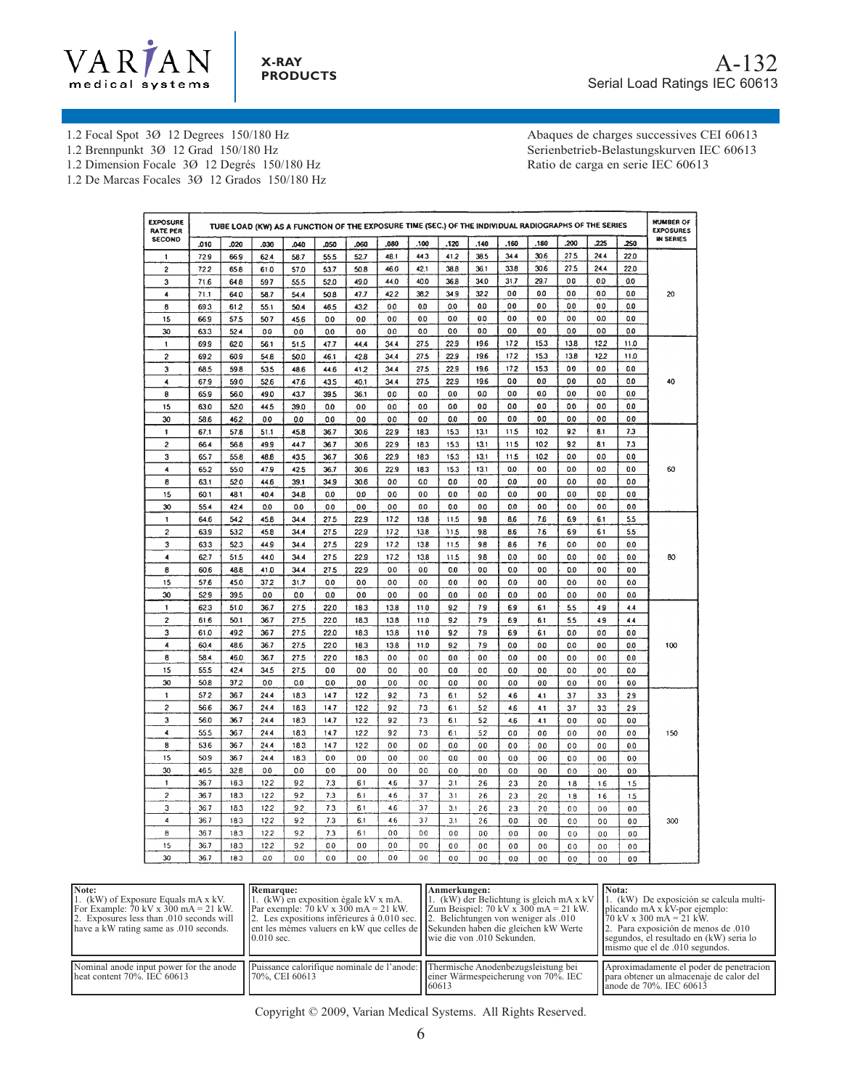

1.2 Focal Spot 3Ø 12 Degrees 150/180 Hz

1.2 Brennpunkt 3Ø 12 Grad 150/180 Hz

1.2 Dimension Focale 3Ø 12 Degrés 150/180 Hz

1.2 De Marcas Focales 3Ø 12 Grados 150/180 Hz

Abaques de charges successives CEI 60613 Serienbetrieb-Belastungskurven IEC 60613 Ratio de carga en serie IEC 60613

| <b>EXPOSURE</b><br><b>RATE PER</b> |              |             | TUBE LOAD (KW) AS A FUNCTION OF THE EXPOSURE TIME (SEC.) OF THE INDIVIDUAL RADIOGRAPHS OF THE SERIES |            |      |           |                                  |            |                |                |                |                |                |                |                | <b>NUMBER OF</b><br><b>EXPOSURES</b> |
|------------------------------------|--------------|-------------|------------------------------------------------------------------------------------------------------|------------|------|-----------|----------------------------------|------------|----------------|----------------|----------------|----------------|----------------|----------------|----------------|--------------------------------------|
| <b>SECOND</b>                      | .010         | .020        | .030                                                                                                 | .040       | .050 | .060      | .080                             | .100       | .120           | .140           | .160           | .180           | .200           | .225           | 250            | <b>IN SERIES</b>                     |
| 1                                  | 72.9         | 66.9        | 62.4                                                                                                 | 58.7       | 55.5 | 52.7      | 48.1                             | 44.3       | 41.2           | 38.5           | 34.4           | 30.6           | 27.5           | 24.4           | 22.0           |                                      |
| $\overline{c}$                     | 722          | 65.8        | 61.0                                                                                                 | 57.0       | 53.7 | 50.8      | 46.0                             | 42.1       | 38.8           | 36.1           | 33.8           | 30.6           | 27.5           | 24.4           | 22.0           |                                      |
| 3                                  | 71.6         | 64.8        | 59.7                                                                                                 | 55.5       | 52.0 | 49.0      | 44.0                             | 40.0       | 36.8           | 34.0           | 31.7           | 29.7           | 0.0            | 0.0            | 0.0            |                                      |
| 4                                  | 71.1         | 64.0        | 58.7                                                                                                 | 54.4       | 50.8 | 47.7      | 42.2                             | 38.2       | 34.9           | 322            | 0.0            | 0.0            | 0.0            | 0.0            | 0.0            | 20                                   |
| 8                                  | 69.3         | 612         | 55.1                                                                                                 | 50.4       | 46.5 | 432       | 0.0                              | 0.0        | 0.0            | 0.0            | 0.0            | 0.0            | 0.0            | 0.0            | 0.0            |                                      |
| 15                                 | 66.9         | 57.5        | 50.7                                                                                                 | 45.6       | 0.0  | 0.0       | 0.0                              | 0.0        | 0.0            | 0.0            | 0.0            | 0.0            | 0.0            | 0.0            | 0.0            |                                      |
| 30                                 | 63.3         | 52.4        | 0.0                                                                                                  | 0.0        | 0.0  | 0.0       | 0.0                              | 0.0        | 0.0            | 0.0            | 0.0            | 0.0            | 0.0            | 0.0            | 0.0            |                                      |
| 1                                  | 69.9         | 62.0        | 56.1                                                                                                 | 51.5       | 47.7 | 44.4      | 34.4                             | 27.5       | 22.9           | 19.6           | 172            | 15.3           | 13.8           | 122            | 11.0           |                                      |
| $\overline{c}$                     | 69.2         | 60.9        | 54.8                                                                                                 | 50.0       | 46.1 | 42.8      | 34.4                             | 27.5       | 22.9           | 19.6           | 172            | 15.3           | 13.8           | 12.2           | 11.0           |                                      |
| 3                                  | 68.5         | 59.8        | 53.5                                                                                                 | 48.6       | 44.6 | 41.2      | 34.4                             | 27.5       | 22.9           | 19.6           | 172            | 15.3           | 0.0            | 0.0            | 0.0            |                                      |
| 4                                  | 67.9         | 59.0        | 52.6                                                                                                 | 47.6       | 43.5 | 40.1      | 34.4                             | 27.5       | 22.9           | 19.6           | 0.0            | 0.0            | 0.0            | 0.0            | 0.0            | 40                                   |
| 8                                  | 65.9         | 56.0        | 49.0                                                                                                 | 43.7       | 39.5 | 36.1      | 0.0                              | 0.0        | 0.0            | 0.0            | 0.0            | 0.0            | 0.0            | 0.0            | 0.0            |                                      |
| 15                                 | 63.0         | 52.0        | 44.5                                                                                                 | 39.0       | 0.0  | 0.0       | 0.0                              | 0.0        | 0.0            | 0.0            | 0.0            | 0.0            | 0.0            | 0.0            | 0.0            |                                      |
| 30                                 | 58.6         | 462         | 0.0                                                                                                  | 0.0        | 0.0  | 0.0       | 0.0                              | 0.0        | 0.0            | 0.0            | 0.0            | 0.0            | 0.0            | 0.0            | 0.0            |                                      |
| $\mathbf{1}$                       | 67.1         | 57.8        | 51.1                                                                                                 | 45.8       | 36.7 | 30.6      | 22.9                             | 18.3       | 15.3           | 13.1           | 11.5           | 102            | 9.2            | 8.1            | 7.3            |                                      |
| 2                                  | 66.4         | 56.8        | 49.9                                                                                                 | 44.7       | 36.7 | 30.6      | 22.9                             | 18.3       | 15.3           | 13.1           | 11.5           | 10.2           | 92             | 8.1            | 7.3            |                                      |
| 3                                  | 65.7         | 55.8        | 48.8                                                                                                 | 43.5       | 36.7 | 30.6      | 22.9                             | 18.3       | 15.3           | 13.1           | 11.5           | 10.2           | 0.0            | 0.0            | 0.0            |                                      |
| 4                                  | 65.2         | 55.0        | 47.9                                                                                                 | 42.5       | 36.7 | 30.6      | 22.9                             | 183        | 15.3           | 13.1           | 0.0            | 0.0            | 0.0            | 0.0            | 0.0            | 60                                   |
| 8                                  | 63.1         | 52.0        | 44.6                                                                                                 | 39.1       | 34.9 | 30.6      | 0.0                              | 0.0        | 0.0            | 0.0            | 0.0            | 0.0            | 0.0            | 0.0            | 0.0            |                                      |
| 15                                 | 60.1         | 48.1        | 40.4                                                                                                 | 34.8       | 0.0  | 0.0       | 0.0                              | 0.0        | 0.0            | 0.0            | 0.0            | 0.0            | 0.0            | 0.0            | 0.0            |                                      |
| 30                                 | 55.4         | 42.4        | 0.0                                                                                                  | 0.0        | 0.0  | 0.0       | 0.0                              | 0.0        | 0.0            | 0.0            | 0.0            | 0.0            | 0.0            | 0.0            | 0.0            |                                      |
| 1                                  | 64.6         | 54.2        | 45.8                                                                                                 | 34.4       | 27.5 | 22.9      | 172                              | 13.8       | 11.5           | 9.8            | 8.6            | 7.6            | 6.9            | 6.1            | 5.5            |                                      |
| $\overline{\mathbf{c}}$            | 63.9         | 53.2        | 45.8                                                                                                 | 34.4       | 27.5 | 22.9      | 172                              | 13.8       | 11.5           | 9.8            | 8.6            | 7.6            | 6.9            | 6.1            | 5.5            |                                      |
| 3                                  | 63.3         | 52.3        | 44.9                                                                                                 | 34.4       | 27.5 | 22.9      | 17.2                             | 13.8       | 11.5           | 9.8            | 8.6            | 7.6            | 0.0            | 0.0            | 0.0            |                                      |
| $\overline{A}$                     | 62.7         | 51.5        | 44.0                                                                                                 | 34.4       | 27.5 | 22.9      | 17.2                             | 13.8       | 11.5           | 9.8            | 0.0            | 0.0            | 0.0            | 0.0            | 0.0            | 80                                   |
| 8                                  | 60.6         | 48.8        | 41.0                                                                                                 | 34.4       | 27.5 | 22.9      | 0.0                              | 0.0        | 0.0            | 0.0            | 0.0            | 0.0            | 0.0            | 0.0            | 0.0            |                                      |
| 15                                 | 57.6         | 45.0        | 37.2                                                                                                 | 31.7       | 0.0  | 0.0       | 0.0                              | 0.0        | 0.0            | 0.0            | 0.0            | 0.0            | 0.0            | 0.0            | 0.0            |                                      |
| 30                                 | 52.9         | 39.5        | 0.0                                                                                                  | 0.0        | 0.0  | 0.0       | 0.0                              | 0.0        | 0.0            | 0.0            | 0.0            | 0.0            | 0.0            | 0.0            | 0.0            |                                      |
| 1                                  | 62.3         | 51.0        | 36.7                                                                                                 | 27.5       | 22.0 | 18.3      | 13.8                             | 11.0       | 92             | 7.9            | 6.9            | 6.1            | 5.5            | 49             | 4.4            |                                      |
| $\overline{c}$                     | 61.6         | 50.1        | 36.7                                                                                                 | 27.5       | 22.0 | 18.3      | 13.8                             | 11.0       | 9.2            | 7.9            | 6.9            | 6.1            | 5.5            | 4.9            | 4.4            |                                      |
| 3                                  | 61.0         | 492         | 367                                                                                                  | 27.5       | 22.0 | 18.3      | 13.8                             | 11.0       | 92             | 7.9            | 6.9            | 6.1            | 0.0            | 0.0            | 0.0            |                                      |
| 4                                  | 60.4         | 48.6        | 36.7                                                                                                 | 27.5       | 22.0 | 18.3      | 13.8                             | 11.0       | 92             | 7.9            | 0.0            | 0.0            | 0.0            | 0.0            | 0.0            | 100                                  |
| 8                                  | 58.4         | 46.0        | 36.7                                                                                                 | 27.5       | 22.0 | 18.3      | 0.0                              | 0.0        | 0.0            | 0.0            | 0.0            | 0.0            | 0.0            | 0.0            | 0.0            |                                      |
| 15                                 | 55.5         | 42.4        | 34.5                                                                                                 | 27.5       | 0.0  | 0.0       | 0.0                              | 0.0        | 0.0            | 0.0            | 0.0            | 0.0            | 0.0            | 0.0            | 0.0            |                                      |
| 30                                 | 50.8         | 372         | 0.0                                                                                                  | 0.0        | 0.0  | 0.0       | 0.0                              | 0.0        | 0.0            | 0.0            | 0.0            | 0.0            | 0.0            | 0.0            | 0.0            |                                      |
| $\mathbf{1}$                       | 57.2         | 36.7        | 24.4                                                                                                 | 18.3       | 14.7 | 122       | 92                               | 7.3        | 6.1            | 52             | 4.6            | 4.1            | 3.7            | 3.3            | 2.9            |                                      |
| $\overline{c}$                     | 56.6         | 36.7        | 24.4                                                                                                 | 18.3       | 14.7 | 122       | 9.2                              | 7.3        | 6.1            | 52             | 4.6            | 4.1            | 3.7            | 3.3            | 2.9            |                                      |
| 3                                  | 56.0         | 36.7        | 24.4                                                                                                 | 18.3       | 14.7 | 122       | 92                               | 7.3        | 6.1            | 5.2            | 4.6            | 4.1            | 0.0            | 0.0            | 0.0            |                                      |
| 4                                  | 55.5         | 36.7        | 24.4                                                                                                 | 18.3       | 14.7 | 122       | 9.2                              | 7.3        | 6.1            | 5.2            | 0.0            | 0.0            | 0.0            | 0.0            | 00             | 150                                  |
| 8                                  | 53.6         | 36.7        | 24.4                                                                                                 | 18.3       | 14.7 | 12.2      | 0.0                              | 0.0        | 0.0            | 0.0            | 0.0            | 0.0            | 00             | 0.0            | 0.0            |                                      |
| 15                                 | 50.9         | 36.7        | 24.4                                                                                                 | 18.3       | 0.0  | 0.0       | 0.0                              | 0.0        | 0.0            | 0.0            | 0.0            | 0 <sub>0</sub> | 0.0            | 0.0            | 0.0            |                                      |
| 30                                 | 46.5         | 32.8        | 0.0                                                                                                  | 0.0        | 0.0  | 0.0       | 0.0                              | 0.0        | $0.0\,$        |                |                |                |                |                |                |                                      |
| 1                                  | 36.7         | 18.3        | 12.2                                                                                                 | 92         | 7.3  | 6.1       | 4.6                              | 3.7        | 3.1            | 0.0<br>2.6     | 0.0            | 0.0            | 0.0            | 0.0            | 0.0            |                                      |
| $\overline{\mathbf{c}}$            | 36.7         | 18.3        | 122                                                                                                  | 9.2        | 7,3  | 6.1       | 4.6                              | 3.7        | 3.1            |                | 23             | 2.0            | 1.8            | 1.6            | 1.5            |                                      |
| 3                                  | 36.7         | 18.3        | 12.2                                                                                                 | 9.2        | 7.3  | 6.1       | 4.6                              | 3.7        | 3.1            | 2.6            | 23             | 2.0            | 1.8            | 1.6            | 1.5            |                                      |
| $\overline{\mathbf{4}}$            |              |             |                                                                                                      |            |      |           |                                  |            |                | 26             | 2.3            | 2.0            | 0.0            | 0 <sub>0</sub> | 0.0            |                                      |
| 8                                  | 36.7         | 183         | 12.2<br>12.2                                                                                         | 9.2<br>9.2 | 7.3  | 6.1       | 4.6<br>0.0                       | 3.7<br>0.0 | 3.1            | 2.6            | 0.0            | 0 <sub>0</sub> | 0.0            | 0.0            | 0.0            | 300                                  |
|                                    | 36.7         | 18.3        |                                                                                                      |            | 7.3  | 6.1       |                                  |            | 0.0            | 0.0            | 0 <sub>0</sub> | 0 <sub>0</sub> | 0 <sub>0</sub> | 0.0            | 0.0            |                                      |
| 15<br>30                           | 36.7<br>36.7 | 18.3<br>183 | 12.2<br>٥o                                                                                           | 9.2<br>00  | 0.0  | 0.0<br>00 | 0 <sub>0</sub><br>0 <sub>0</sub> | 00<br>00   | 0 <sub>0</sub> | 0.0            | 0.0            | 0.0            | 0 <sub>0</sub> | 0.0            | 0 <sub>0</sub> |                                      |
|                                    |              |             |                                                                                                      |            | n۵   |           |                                  |            | nn             | 0 <sub>0</sub> | 00             | 0 <sub>0</sub> | $\Omega$       | 0 <sub>0</sub> | 00             |                                      |

| Note:<br>1. (kW) of Exposure Equals mA x kV.<br>For Example: 70 kV x 300 mA = 21 kW.<br>2. Exposures less than 0.010 seconds will<br>have a kW rating same as .010 seconds. | <b>Remarque:</b><br>1. (kW) en exposition égale kV x mA.<br>Par exemple: 70 kV x 300 mA = 21 kW.<br>2. Les expositions inférieures à 0.010 sec.<br>ent les mémes valuers en kW que celles de <i>Sekunden</i> haben die gleichen kW Werte<br>$0.010$ sec. | Anmerkungen:<br>1. (kW) der Belichtung is gleich mA $x$ kV<br>$\vert$ Zum Beispiel: 70 kV x 300 mA = 21 kW.<br>2. Belichtungen von weniger als 0.00<br>lwie die von .010 Sekunden. | Nota:<br>1. (kW) De exposición se calcula multi-<br>plicando mA x kV-por ejemplo:<br>$170 \text{ kV} \times 300 \text{ mA} = 21 \text{ kW}$ .<br>2. Para exposición de menos de 0.10<br>segundos, el resultado en (kW) seria lo<br>mismo que el de .010 segundos. |
|-----------------------------------------------------------------------------------------------------------------------------------------------------------------------------|----------------------------------------------------------------------------------------------------------------------------------------------------------------------------------------------------------------------------------------------------------|------------------------------------------------------------------------------------------------------------------------------------------------------------------------------------|-------------------------------------------------------------------------------------------------------------------------------------------------------------------------------------------------------------------------------------------------------------------|
| Nominal anode input power for the anode<br>$\mu$ heat content 70%. IEC 60613                                                                                                | Puissance calorifique nominale de l'anode: [Thermische Anodenbezugsleistung bei<br>70%, CEI 60613                                                                                                                                                        | einer Wärmespeicherung von 70%. IEC<br>160613                                                                                                                                      | Aproximadamente el poder de penetracion<br>para obtener un almacenaje de calor del<br>lanode de 70%. IEC 60613                                                                                                                                                    |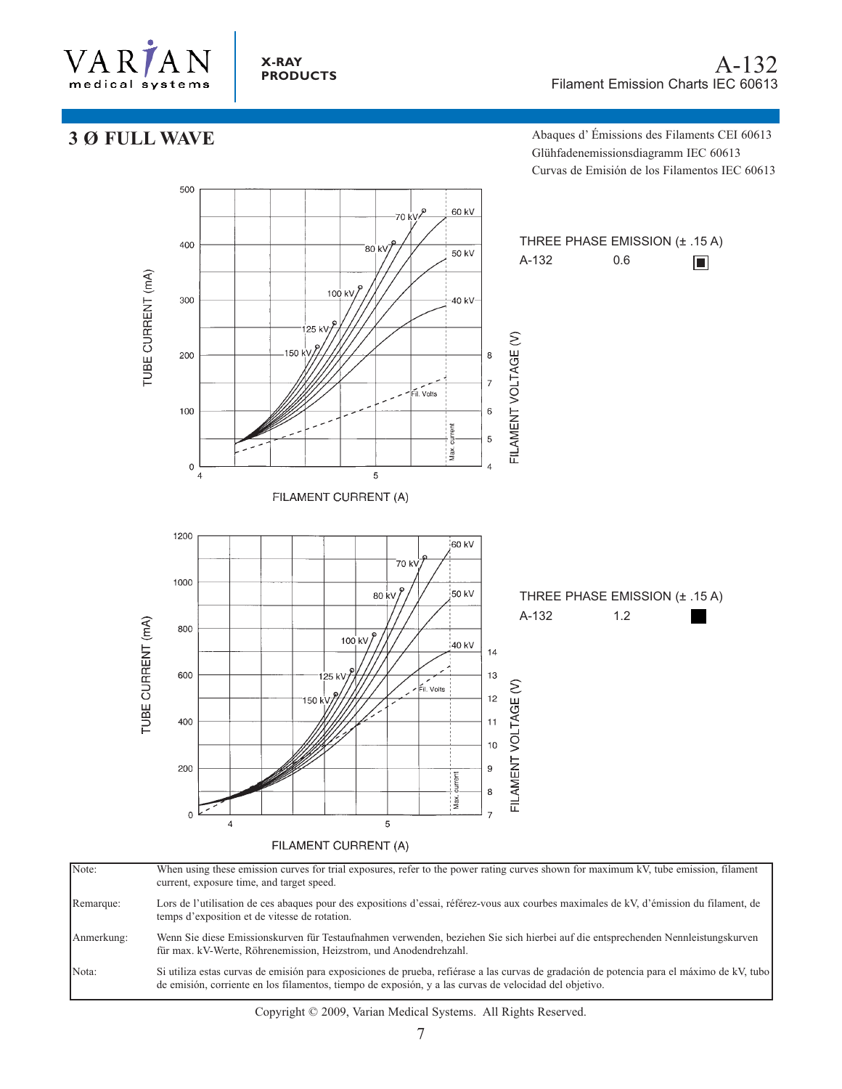

#### **X-RAY PRODUCTS**

## **3 Ø FULL WAVE**

Abaques d' Émissions des Filaments CEI 60613 Glühfadenemissionsdiagramm IEC 60613 Curvas de Emisión de los Filamentos IEC 60613



Note: When using these emission curves for trial exposures, refer to the power rating curves shown for maximum kV, tube emission, filament current, exposure time, and target speed. Remarque: Lors de l'utilisation de ces abaques pour des expositions d'essai, référez-vous aux courbes maximales de kV, d'émission du filament, de temps d'exposition et de vitesse de rotation. Anmerkung: Wenn Sie diese Emissionskurven für Testaufnahmen verwenden, beziehen Sie sich hierbei auf die entsprechenden Nennleistungskurven für max. kV-Werte, Röhrenemission, Heizstrom, und Anodendrehzahl. Nota: Si utiliza estas curvas de emisión para exposiciones de prueba, refiérase a las curvas de gradación de potencia para el máximo de kV, tubo de emisión, corriente en los filamentos, tiempo de exposión, y a las curvas de velocidad del objetivo.